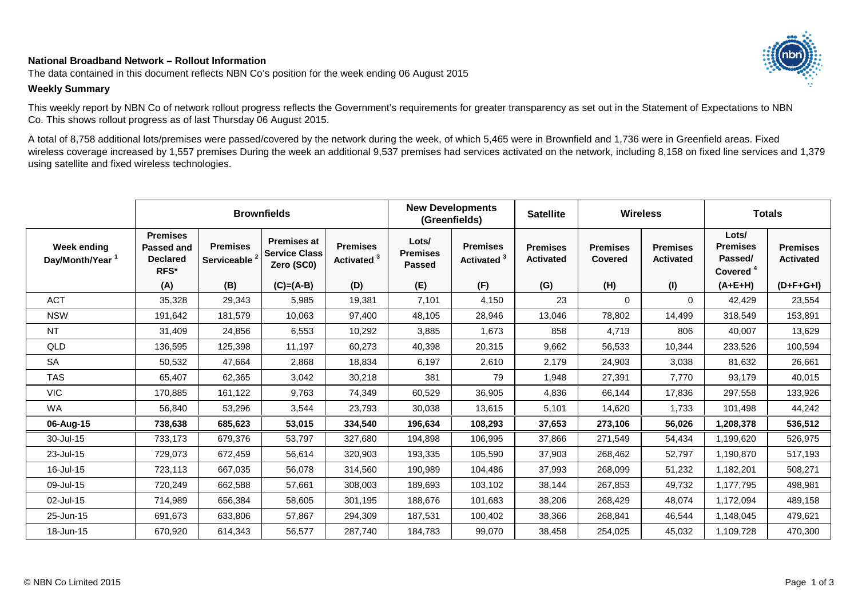## **National Broadband Network – Rollout Information**

The data contained in this document reflects NBN Co's position for the week ending 06 August 2015

## **Weekly Summary**

This weekly report by NBN Co of network rollout progress reflects the Government's requirements for greater transparency as set out in the Statement of Expectations to NBN Co. This shows rollout progress as of last Thursday 06 August 2015.

A total of 8,758 additional lots/premises were passed/covered by the network during the week, of which 5,465 were in Brownfield and 1,736 were in Greenfield areas. Fixed wireless coverage increased by 1,557 premises During the week an additional 9,537 premises had services activated on the network, including 8,158 on fixed line services and 1,379 using satellite and fixed wireless technologies.

|                                            |                                                          |                                             | <b>Brownfields</b>                                       |                                           | <b>New Developments</b>                   | (Greenfields)                             | <b>Satellite</b>                    | <b>Wireless</b>                   |                                     | <b>Totals</b>                                               |                                     |
|--------------------------------------------|----------------------------------------------------------|---------------------------------------------|----------------------------------------------------------|-------------------------------------------|-------------------------------------------|-------------------------------------------|-------------------------------------|-----------------------------------|-------------------------------------|-------------------------------------------------------------|-------------------------------------|
| Week ending<br>Day/Month/Year <sup>1</sup> | <b>Premises</b><br>Passed and<br><b>Declared</b><br>RFS* | <b>Premises</b><br>Serviceable <sup>2</sup> | <b>Premises at</b><br><b>Service Class</b><br>Zero (SC0) | <b>Premises</b><br>Activated <sup>3</sup> | Lots/<br><b>Premises</b><br><b>Passed</b> | <b>Premises</b><br>Activated <sup>3</sup> | <b>Premises</b><br><b>Activated</b> | <b>Premises</b><br><b>Covered</b> | <b>Premises</b><br><b>Activated</b> | Lots/<br><b>Premises</b><br>Passed/<br>Covered <sup>4</sup> | <b>Premises</b><br><b>Activated</b> |
|                                            | (A)                                                      | (B)                                         | $(C)=(A-B)$                                              | (D)                                       | (E)                                       | (F)                                       | (G)                                 | (H)                               | (1)                                 | $(A+E+H)$                                                   | $(D+F+G+I)$                         |
| <b>ACT</b>                                 | 35,328                                                   | 29,343                                      | 5,985                                                    | 19,381                                    | 7,101                                     | 4,150                                     | 23                                  | $\mathbf 0$                       | 0                                   | 42,429                                                      | 23,554                              |
| <b>NSW</b>                                 | 191,642                                                  | 181,579                                     | 10,063                                                   | 97,400                                    | 48,105                                    | 28,946                                    | 13,046                              | 78,802                            | 14,499                              | 318,549                                                     | 153,891                             |
| <b>NT</b>                                  | 31,409                                                   | 24,856                                      | 6,553                                                    | 10,292                                    | 3,885                                     | 1,673                                     | 858                                 | 4,713                             | 806                                 | 40,007                                                      | 13,629                              |
| QLD                                        | 136,595                                                  | 125,398                                     | 11,197                                                   | 60,273                                    | 40,398                                    | 20,315                                    | 9,662                               | 56,533                            | 10,344                              | 233,526                                                     | 100,594                             |
| <b>SA</b>                                  | 50,532                                                   | 47,664                                      | 2,868                                                    | 18,834                                    | 6,197                                     | 2,610                                     | 2,179                               | 24,903                            | 3,038                               | 81,632                                                      | 26,661                              |
| <b>TAS</b>                                 | 65,407                                                   | 62,365                                      | 3,042                                                    | 30,218                                    | 381                                       | 79                                        | 1,948                               | 27,391                            | 7,770                               | 93,179                                                      | 40,015                              |
| <b>VIC</b>                                 | 170,885                                                  | 161,122                                     | 9,763                                                    | 74,349                                    | 60,529                                    | 36,905                                    | 4,836                               | 66,144                            | 17,836                              | 297,558                                                     | 133,926                             |
| WA                                         | 56,840                                                   | 53,296                                      | 3,544                                                    | 23,793                                    | 30,038                                    | 13,615                                    | 5,101                               | 14,620                            | 1,733                               | 101,498                                                     | 44,242                              |
| 06-Aug-15                                  | 738,638                                                  | 685,623                                     | 53,015                                                   | 334,540                                   | 196,634                                   | 108,293                                   | 37,653                              | 273,106                           | 56,026                              | 1,208,378                                                   | 536,512                             |
| 30-Jul-15                                  | 733,173                                                  | 679,376                                     | 53,797                                                   | 327,680                                   | 194,898                                   | 106,995                                   | 37,866                              | 271,549                           | 54,434                              | 1,199,620                                                   | 526,975                             |
| 23-Jul-15                                  | 729,073                                                  | 672,459                                     | 56,614                                                   | 320,903                                   | 193,335                                   | 105,590                                   | 37,903                              | 268,462                           | 52,797                              | 1,190,870                                                   | 517,193                             |
| 16-Jul-15                                  | 723,113                                                  | 667,035                                     | 56,078                                                   | 314,560                                   | 190,989                                   | 104,486                                   | 37,993                              | 268,099                           | 51,232                              | 1,182,201                                                   | 508,271                             |
| 09-Jul-15                                  | 720,249                                                  | 662,588                                     | 57,661                                                   | 308,003                                   | 189,693                                   | 103,102                                   | 38,144                              | 267,853                           | 49,732                              | 1,177,795                                                   | 498,981                             |
| 02-Jul-15                                  | 714,989                                                  | 656,384                                     | 58,605                                                   | 301,195                                   | 188,676                                   | 101,683                                   | 38,206                              | 268,429                           | 48,074                              | 1,172,094                                                   | 489,158                             |
| 25-Jun-15                                  | 691,673                                                  | 633,806                                     | 57,867                                                   | 294,309                                   | 187,531                                   | 100,402                                   | 38,366                              | 268,841                           | 46,544                              | 1,148,045                                                   | 479,621                             |
| 18-Jun-15                                  | 670,920                                                  | 614,343                                     | 56,577                                                   | 287,740                                   | 184,783                                   | 99,070                                    | 38,458                              | 254,025                           | 45,032                              | 1,109,728                                                   | 470,300                             |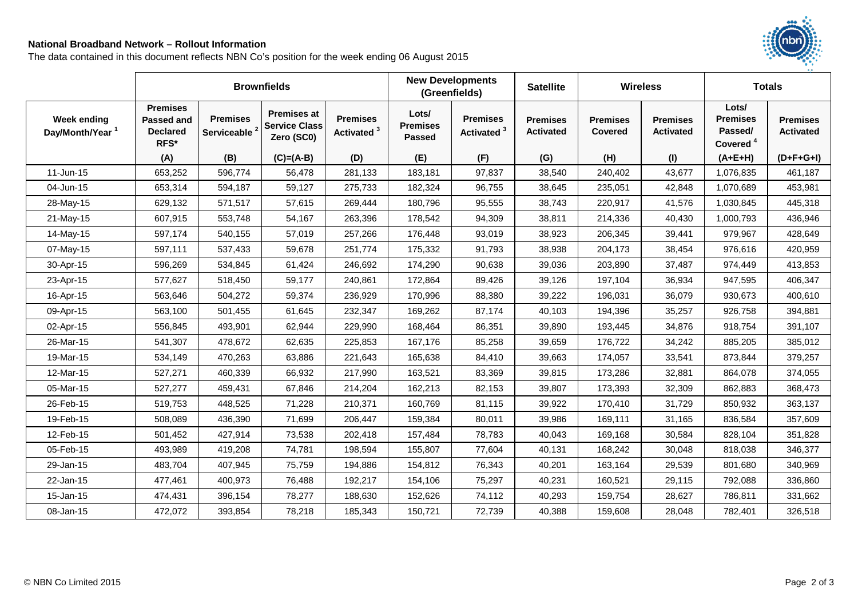## **National Broadband Network – Rollout Information**

The data contained in this document reflects NBN Co's position for the week ending 06 August 2015



|                                            | <b>Brownfields</b>                                              |                                |                                                          |                                           |                                           | <b>New Developments</b><br><b>Satellite</b><br>(Greenfields) |                                     | <b>Wireless</b>            |                                     | <b>Totals</b>                                               |                                     |
|--------------------------------------------|-----------------------------------------------------------------|--------------------------------|----------------------------------------------------------|-------------------------------------------|-------------------------------------------|--------------------------------------------------------------|-------------------------------------|----------------------------|-------------------------------------|-------------------------------------------------------------|-------------------------------------|
| Week ending<br>Day/Month/Year <sup>1</sup> | <b>Premises</b><br><b>Passed and</b><br><b>Declared</b><br>RFS* | <b>Premises</b><br>Serviceable | <b>Premises at</b><br><b>Service Class</b><br>Zero (SC0) | <b>Premises</b><br>Activated <sup>3</sup> | Lots/<br><b>Premises</b><br><b>Passed</b> | <b>Premises</b><br>Activated <sup>3</sup>                    | <b>Premises</b><br><b>Activated</b> | <b>Premises</b><br>Covered | <b>Premises</b><br><b>Activated</b> | Lots/<br><b>Premises</b><br>Passed/<br>Covered <sup>4</sup> | <b>Premises</b><br><b>Activated</b> |
|                                            | (A)                                                             | (B)                            | $(C)=(A-B)$                                              | (D)                                       | (E)                                       | (F)                                                          | (G)                                 | (H)                        | (1)                                 | $(A+E+H)$                                                   | $(D+F+G+I)$                         |
| 11-Jun-15                                  | 653,252                                                         | 596,774                        | 56,478                                                   | 281,133                                   | 183,181                                   | 97,837                                                       | 38,540                              | 240,402                    | 43,677                              | 1,076,835                                                   | 461,187                             |
| 04-Jun-15                                  | 653,314                                                         | 594,187                        | 59,127                                                   | 275,733                                   | 182,324                                   | 96,755                                                       | 38,645                              | 235,051                    | 42,848                              | 1,070,689                                                   | 453,981                             |
| 28-May-15                                  | 629,132                                                         | 571,517                        | 57,615                                                   | 269,444                                   | 180,796                                   | 95,555                                                       | 38,743                              | 220,917                    | 41,576                              | 1,030,845                                                   | 445,318                             |
| 21-May-15                                  | 607,915                                                         | 553,748                        | 54,167                                                   | 263,396                                   | 178,542                                   | 94,309                                                       | 38,811                              | 214,336                    | 40,430                              | 1,000,793                                                   | 436,946                             |
| 14-May-15                                  | 597,174                                                         | 540,155                        | 57,019                                                   | 257,266                                   | 176,448                                   | 93,019                                                       | 38,923                              | 206,345                    | 39,441                              | 979,967                                                     | 428,649                             |
| 07-May-15                                  | 597,111                                                         | 537,433                        | 59,678                                                   | 251,774                                   | 175,332                                   | 91,793                                                       | 38,938                              | 204,173                    | 38,454                              | 976,616                                                     | 420,959                             |
| 30-Apr-15                                  | 596,269                                                         | 534,845                        | 61,424                                                   | 246,692                                   | 174,290                                   | 90,638                                                       | 39,036                              | 203,890                    | 37,487                              | 974,449                                                     | 413,853                             |
| 23-Apr-15                                  | 577,627                                                         | 518,450                        | 59,177                                                   | 240,861                                   | 172,864                                   | 89,426                                                       | 39,126                              | 197,104                    | 36,934                              | 947,595                                                     | 406,347                             |
| 16-Apr-15                                  | 563,646                                                         | 504,272                        | 59,374                                                   | 236,929                                   | 170,996                                   | 88,380                                                       | 39,222                              | 196,031                    | 36,079                              | 930,673                                                     | 400,610                             |
| 09-Apr-15                                  | 563,100                                                         | 501,455                        | 61,645                                                   | 232,347                                   | 169,262                                   | 87,174                                                       | 40,103                              | 194,396                    | 35,257                              | 926,758                                                     | 394,881                             |
| 02-Apr-15                                  | 556,845                                                         | 493,901                        | 62,944                                                   | 229,990                                   | 168,464                                   | 86,351                                                       | 39,890                              | 193,445                    | 34,876                              | 918,754                                                     | 391,107                             |
| 26-Mar-15                                  | 541,307                                                         | 478,672                        | 62,635                                                   | 225,853                                   | 167,176                                   | 85,258                                                       | 39,659                              | 176,722                    | 34,242                              | 885,205                                                     | 385,012                             |
| 19-Mar-15                                  | 534,149                                                         | 470,263                        | 63,886                                                   | 221,643                                   | 165,638                                   | 84,410                                                       | 39,663                              | 174,057                    | 33,541                              | 873,844                                                     | 379,257                             |
| 12-Mar-15                                  | 527,271                                                         | 460,339                        | 66,932                                                   | 217,990                                   | 163,521                                   | 83,369                                                       | 39,815                              | 173,286                    | 32,881                              | 864,078                                                     | 374,055                             |
| 05-Mar-15                                  | 527,277                                                         | 459,431                        | 67,846                                                   | 214,204                                   | 162,213                                   | 82,153                                                       | 39,807                              | 173,393                    | 32,309                              | 862,883                                                     | 368,473                             |
| 26-Feb-15                                  | 519,753                                                         | 448,525                        | 71,228                                                   | 210,371                                   | 160,769                                   | 81,115                                                       | 39,922                              | 170,410                    | 31,729                              | 850,932                                                     | 363,137                             |
| 19-Feb-15                                  | 508,089                                                         | 436,390                        | 71,699                                                   | 206,447                                   | 159,384                                   | 80,011                                                       | 39,986                              | 169,111                    | 31,165                              | 836,584                                                     | 357,609                             |
| 12-Feb-15                                  | 501,452                                                         | 427,914                        | 73,538                                                   | 202,418                                   | 157,484                                   | 78,783                                                       | 40,043                              | 169,168                    | 30,584                              | 828,104                                                     | 351,828                             |
| 05-Feb-15                                  | 493,989                                                         | 419,208                        | 74,781                                                   | 198,594                                   | 155,807                                   | 77,604                                                       | 40,131                              | 168,242                    | 30,048                              | 818,038                                                     | 346,377                             |
| 29-Jan-15                                  | 483,704                                                         | 407,945                        | 75,759                                                   | 194,886                                   | 154,812                                   | 76,343                                                       | 40,201                              | 163,164                    | 29,539                              | 801,680                                                     | 340,969                             |
| 22-Jan-15                                  | 477,461                                                         | 400,973                        | 76,488                                                   | 192,217                                   | 154,106                                   | 75,297                                                       | 40,231                              | 160,521                    | 29,115                              | 792,088                                                     | 336,860                             |
| 15-Jan-15                                  | 474,431                                                         | 396,154                        | 78,277                                                   | 188,630                                   | 152,626                                   | 74,112                                                       | 40,293                              | 159,754                    | 28,627                              | 786,811                                                     | 331,662                             |
| 08-Jan-15                                  | 472,072                                                         | 393,854                        | 78,218                                                   | 185,343                                   | 150,721                                   | 72,739                                                       | 40,388                              | 159,608                    | 28,048                              | 782,401                                                     | 326,518                             |